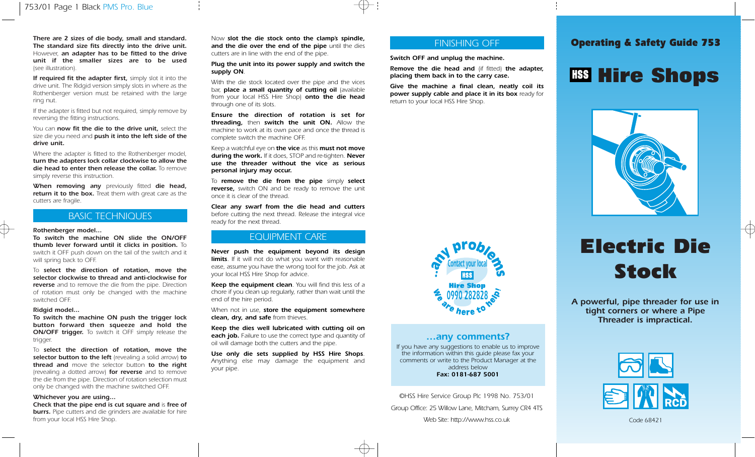There are 2 sizes of die body, small and standard. Now slot the die stock onto the clamp's spindle,<br>The standard size fits directly into the drive unit and the die over the end of the pine until the dies<br>
The standard size The standard size fits directly into the drive unit. However, an adapter has to be fitted to the drive unit if the smaller sizes are to be used (see illustration).

If required fit the adapter first, simply slot it into the drive unit. The Ridgid version simply slots in where as the Rothenberger version must be retained with the large ring nut.

If the adapter is fitted but not required, simply remove by reversing the fitting instructions.

You can now fit the die to the drive unit, select the size die you need and push it into the left side of the drive unit.

Where the adapter is fitted to the Rothenberger model, turn the adapters lock collar clockwise to allow the die head to enter then release the collar. To remove simply reverse this instruction.

When removing any previously fitted die head, return it to the box. Treat them with great care as the cutters are fragile.

## BASIC TECHNIQUES

### Rothenberger model...

To switch the machine ON slide the ON/OFF thumb lever forward until it clicks in position. To switch it OFF push down on the tail of the switch and it will spring back to OFF.

To select the direction of rotation, move the selector clockwise to thread and anti-clockwise for reverse and to remove the die from the pipe. Direction of rotation must only be changed with the machine switched OFF.

### Ridgid model...

To switch the machine ON push the trigger lock button forward then squeeze and hold the **ON/OFF trigger.** To switch it OFF simply release the trigger.

To select the direction of rotation, move the selector button to the left (revealing a solid arrow) to thread and move the selector button to the right (revealing a dotted arrow) **for reverse** and to remove the die from the pipe. Direction of rotation selection must only be changed with the machine switched OFF.

## Whichever you are using...

Check that the pipe end is cut square and is free of **burrs.** Pipe cutters and die grinders are available for hire from your local HSS Hire Shop.

Now slot the die stock onto the clamp's spindle, and the die over the end of the pipe until the dies cutters are in line with the end of the pipe.

Plug the unit into its power supply and switch the supply ON.

With the die stock located over the pipe and the vices bar, place a small quantity of cutting oil (available from your local HSS Hire Shop) **onto the die head** through one of its slots.

Ensure the direction of rotation is set for threading, then switch the unit ON. Allow the machine to work at its own pace and once the thread is complete switch the machine OFF.

Keep a watchful eye on the vice as this must not move during the work. If it does, STOP and re-tighten. Never use the threader without the vice as serious personal injury may occur.

To remove the die from the pipe simply select reverse, switch ON and be ready to remove the unit once it is clear of the thread.

Clear any swarf from the die head and cutters before cutting the next thread. Release the integral vice ready for the next thread.

## EQUIPMENT CARE

Never push the equipment beyond its design limits. If it will not do what you want with reasonable ease, assume you have the wrong tool for the job. Ask at your local HSS Hire Shop for advice.

Keep the equipment clean. You will find this less of a chore if you clean up regularly, rather than wait until the end of the hire period.

When not in use, store the equipment somewhere clean, dry, and safe from thieves.

Keep the dies well lubricated with cutting oil on each job. Failure to use the correct type and quantity of oil will damage both the cutters and the pipe.

Use only die sets supplied by HSS Hire Shops. Anything else may damage the equipment and your pipe.

## FINISHING OFF

Switch OFF and unplug the machine.

Remove the die head and (if fitted) the adapter, placing them back in to the carry case.

Give the machine a final clean, neatly coil its power supply cable and place it in its box ready for return to your local HSS Hire Shop.





## …any comments?

If you have any suggestions to enable us to improve the information within this guide please fax your comments or write to the Product Manager at the address below Fax: 0181-687 5001

©HSS Hire Service Group Plc 1998 No. 753/01 Group Office: 25 Willow Lane, Mitcham, Surrey CR4 4TS Web Site: http://www.hss.co.uk

# Electric Die Stock

A powerful, pipe threader for use in tight corners or where a Pipe Threader is impractical.



Code 68421

# **Hire Shops**